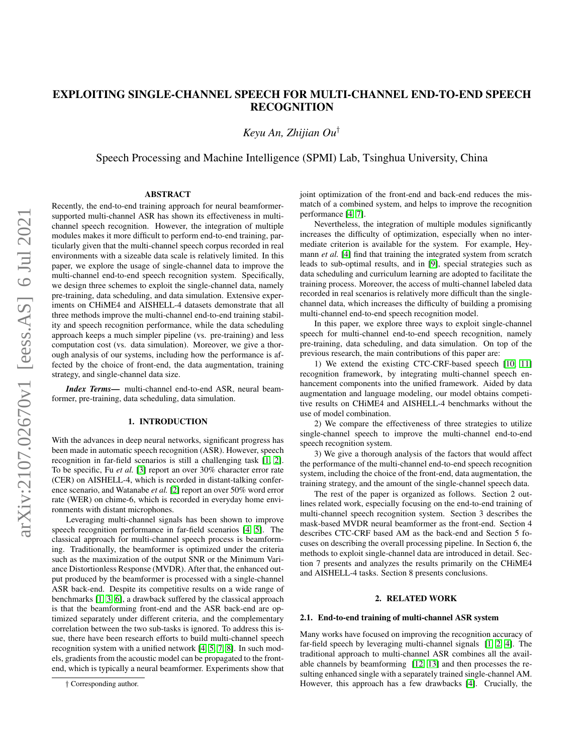# EXPLOITING SINGLE-CHANNEL SPEECH FOR MULTI-CHANNEL END-TO-END SPEECH RECOGNITION

*Keyu An, Zhijian Ou*†

Speech Processing and Machine Intelligence (SPMI) Lab, Tsinghua University, China

## ABSTRACT

Recently, the end-to-end training approach for neural beamformersupported multi-channel ASR has shown its effectiveness in multichannel speech recognition. However, the integration of multiple modules makes it more difficult to perform end-to-end training, particularly given that the multi-channel speech corpus recorded in real environments with a sizeable data scale is relatively limited. In this paper, we explore the usage of single-channel data to improve the multi-channel end-to-end speech recognition system. Specifically, we design three schemes to exploit the single-channel data, namely pre-training, data scheduling, and data simulation. Extensive experiments on CHiME4 and AISHELL-4 datasets demonstrate that all three methods improve the multi-channel end-to-end training stability and speech recognition performance, while the data scheduling approach keeps a much simpler pipeline (vs. pre-training) and less computation cost (vs. data simulation). Moreover, we give a thorough analysis of our systems, including how the performance is affected by the choice of front-end, the data augmentation, training strategy, and single-channel data size.

*Index Terms*— multi-channel end-to-end ASR, neural beamformer, pre-training, data scheduling, data simulation.

#### 1. INTRODUCTION

With the advances in deep neural networks, significant progress has been made in automatic speech recognition (ASR). However, speech recognition in far-field scenarios is still a challenging task [\[1,](#page-6-0) [2\]](#page-6-1). To be specific, Fu *et al.* [\[3\]](#page-6-2) report an over 30% character error rate (CER) on AISHELL-4, which is recorded in distant-talking conference scenario, and Watanabe *et al.* [\[2\]](#page-6-1) report an over 50% word error rate (WER) on chime-6, which is recorded in everyday home environments with distant microphones.

Leveraging multi-channel signals has been shown to improve speech recognition performance in far-field scenarios [\[4,](#page-6-3) [5\]](#page-6-4). The classical approach for multi-channel speech process is beamforming. Traditionally, the beamformer is optimized under the criteria such as the maximization of the output SNR or the Minimum Variance Distortionless Response (MVDR). After that, the enhanced output produced by the beamformer is processed with a single-channel ASR back-end. Despite its competitive results on a wide range of benchmarks [\[1,](#page-6-0) [3,](#page-6-2) [6\]](#page-6-5), a drawback suffered by the classical approach is that the beamforming front-end and the ASR back-end are optimized separately under different criteria, and the complementary correlation between the two sub-tasks is ignored. To address this issue, there have been research efforts to build multi-channel speech recognition system with a unified network [\[4,](#page-6-3) [5,](#page-6-4) [7,](#page-6-6) [8\]](#page-6-7). In such models, gradients from the acoustic model can be propagated to the frontend, which is typically a neural beamformer. Experiments show that

joint optimization of the front-end and back-end reduces the mismatch of a combined system, and helps to improve the recognition performance [\[4,](#page-6-3) [7\]](#page-6-6).

Nevertheless, the integration of multiple modules significantly increases the difficulty of optimization, especially when no intermediate criterion is available for the system. For example, Heymann *et al.* [\[4\]](#page-6-3) find that training the integrated system from scratch leads to sub-optimal results, and in [\[9\]](#page-6-8), special strategies such as data scheduling and curriculum learning are adopted to facilitate the training process. Moreover, the access of multi-channel labeled data recorded in real scenarios is relatively more difficult than the singlechannel data, which increases the difficulty of building a promising multi-channel end-to-end speech recognition model.

In this paper, we explore three ways to exploit single-channel speech for multi-channel end-to-end speech recognition, namely pre-training, data scheduling, and data simulation. On top of the previous research, the main contributions of this paper are:

1) We extend the existing CTC-CRF-based speech [\[10,](#page-6-9) [11\]](#page-6-10) recognition framework, by integrating multi-channel speech enhancement components into the unified framework. Aided by data augmentation and language modeling, our model obtains competitive results on CHiME4 and AISHELL-4 benchmarks without the use of model combination.

2) We compare the effectiveness of three strategies to utilize single-channel speech to improve the multi-channel end-to-end speech recognition system.

3) We give a thorough analysis of the factors that would affect the performance of the multi-channel end-to-end speech recognition system, including the choice of the front-end, data augmentation, the training strategy, and the amount of the single-channel speech data.

The rest of the paper is organized as follows. Section 2 outlines related work, especially focusing on the end-to-end training of multi-channel speech recognition system. Section 3 describes the mask-based MVDR neural beamformer as the front-end. Section 4 describes CTC-CRF based AM as the back-end and Section 5 focuses on describing the overall processing pipeline. In Section 6, the methods to exploit single-channel data are introduced in detail. Section 7 presents and analyzes the results primarily on the CHiME4 and AISHELL-4 tasks. Section 8 presents conclusions.

## 2. RELATED WORK

#### 2.1. End-to-end training of multi-channel ASR system

Many works have focused on improving the recognition accuracy of far-field speech by leveraging multi-channel signals [\[1,](#page-6-0) [2,](#page-6-1) [4\]](#page-6-3). The traditional approach to multi-channel ASR combines all the available channels by beamforming [\[12,](#page-6-11) [13\]](#page-6-12) and then processes the resulting enhanced single with a separately trained single-channel AM. However, this approach has a few drawbacks [\[4\]](#page-6-3). Crucially, the

<sup>†</sup> Corresponding author.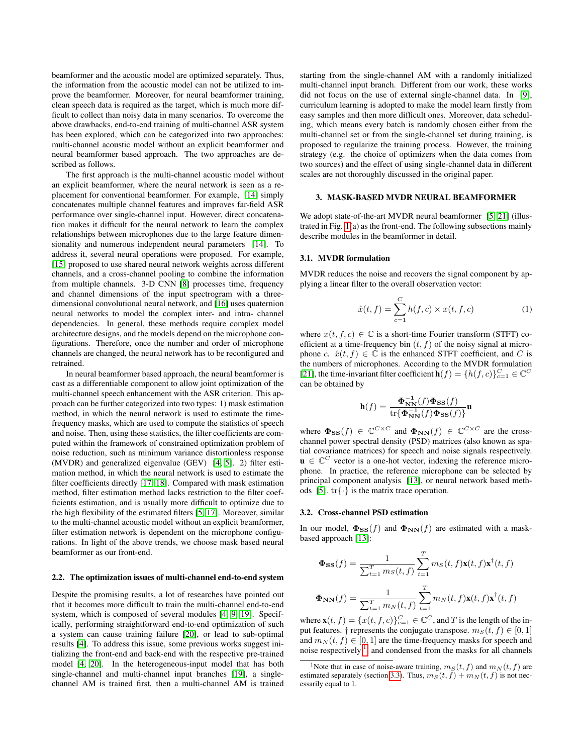beamformer and the acoustic model are optimized separately. Thus, the information from the acoustic model can not be utilized to improve the beamformer. Moreover, for neural beamformer training, clean speech data is required as the target, which is much more difficult to collect than noisy data in many scenarios. To overcome the above drawbacks, end-to-end training of multi-channel ASR system has been explored, which can be categorized into two approaches: multi-channel acoustic model without an explicit beamformer and neural beamformer based approach. The two approaches are described as follows.

The first approach is the multi-channel acoustic model without an explicit beamformer, where the neural network is seen as a replacement for conventional beamformer. For example, [\[14\]](#page-6-13) simply concatenates multiple channel features and improves far-field ASR performance over single-channel input. However, direct concatenation makes it difficult for the neural network to learn the complex relationships between microphones due to the large feature dimen-sionality and numerous independent neural parameters [\[14\]](#page-6-13). To address it, several neural operations were proposed. For example, [\[15\]](#page-6-14) proposed to use shared neural network weights across different channels, and a cross-channel pooling to combine the information from multiple channels. 3-D CNN [\[8\]](#page-6-7) processes time, frequency and channel dimensions of the input spectrogram with a threedimensional convolutional neural network, and [\[16\]](#page-6-15) uses quaternion neural networks to model the complex inter- and intra- channel dependencies. In general, these methods require complex model architecture designs, and the models depend on the microphone configurations. Therefore, once the number and order of microphone channels are changed, the neural network has to be reconfigured and retrained.

In neural beamformer based approach, the neural beamformer is cast as a differentiable component to allow joint optimization of the multi-channel speech enhancement with the ASR criterion. This approach can be further categorized into two types: 1) mask estimation method, in which the neural network is used to estimate the timefrequency masks, which are used to compute the statistics of speech and noise. Then, using these statistics, the filter coefficients are computed within the framework of constrained optimization problem of noise reduction, such as minimum variance distortionless response (MVDR) and generalized eigenvalue (GEV) [\[4,](#page-6-3) [5\]](#page-6-4). 2) filter estimation method, in which the neural network is used to estimate the filter coefficients directly [\[17,](#page-6-16) [18\]](#page-6-17). Compared with mask estimation method, filter estimation method lacks restriction to the filter coefficients estimation, and is usually more difficult to optimize due to the high flexibility of the estimated filters [\[5,](#page-6-4) [17\]](#page-6-16). Moreover, similar to the multi-channel acoustic model without an explicit beamformer, filter estimation network is dependent on the microphone configurations. In light of the above trends, we choose mask based neural beamformer as our front-end.

#### 2.2. The optimization issues of multi-channel end-to-end system

Despite the promising results, a lot of researches have pointed out that it becomes more difficult to train the multi-channel end-to-end system, which is composed of several modules [\[4,](#page-6-3) [9,](#page-6-8) [19\]](#page-6-18). Specifically, performing straightforward end-to-end optimization of such a system can cause training failure [\[20\]](#page-6-19), or lead to sub-optimal results [\[4\]](#page-6-3). To address this issue, some previous works suggest initializing the front-end and back-end with the respective pre-trained model [\[4,](#page-6-3) [20\]](#page-6-19). In the heterogeneous-input model that has both single-channel and multi-channel input branches [\[19\]](#page-6-18), a singlechannel AM is trained first, then a multi-channel AM is trained

starting from the single-channel AM with a randomly initialized multi-channel input branch. Different from our work, these works did not focus on the use of external single-channel data. In [\[9\]](#page-6-8), curriculum learning is adopted to make the model learn firstly from easy samples and then more difficult ones. Moreover, data scheduling, which means every batch is randomly chosen either from the multi-channel set or from the single-channel set during training, is proposed to regularize the training process. However, the training strategy (e.g. the choice of optimizers when the data comes from two sources) and the effect of using single-channel data in different scales are not thoroughly discussed in the original paper.

## 3. MASK-BASED MVDR NEURAL BEAMFORMER

We adopt state-of-the-art MVDR neural beamformer [\[5,](#page-6-4) [21\]](#page-6-20) (illustrated in Fig. [1\(](#page-2-0)a) as the front-end. The following subsections mainly describe modules in the beamformer in detail.

#### 3.1. MVDR formulation

MVDR reduces the noise and recovers the signal component by applying a linear filter to the overall observation vector:

<span id="page-1-1"></span>
$$
\hat{x}(t,f) = \sum_{c=1}^{C} h(f,c) \times x(t,f,c)
$$
 (1)

where  $x(t, f, c) \in \mathbb{C}$  is a short-time Fourier transform (STFT) coefficient at a time-frequency bin  $(t, f)$  of the noisy signal at microphone c.  $\hat{x}(t, f) \in \mathbb{C}$  is the enhanced STFT coefficient, and C is the numbers of microphones. According to the MVDR formulation [\[21\]](#page-6-20), the time-invariant filter coefficient  $\mathbf{h}(f) = \{h(f, c)\}_{c=1}^C \in \mathbb{C}^C$ can be obtained by

$$
\mathbf{h}(f) = \frac{\mathbf{\Phi}_{\mathbf{NN}}^{-1}(f)\mathbf{\Phi}_{\mathbf{SS}}(f)}{\mathrm{tr}\{\mathbf{\Phi}_{\mathbf{NN}}^{-1}(f)\mathbf{\Phi}_{\mathbf{SS}}(f)\}}\mathbf{u}
$$

where  $\Phi_{\rm\bf SS}(f) \in \mathbb{C}^{C \times C}$  and  $\Phi_{\rm\bf NN}(f) \in \mathbb{C}^{C \times C}$  are the crosschannel power spectral density (PSD) matrices (also known as spatial covariance matrices) for speech and noise signals respectively.  $\mathbf{u} \in \mathbb{C}^C$  vector is a one-hot vector, indexing the reference microphone. In practice, the reference microphone can be selected by principal component analysis [\[13\]](#page-6-12), or neural network based meth-ods [\[5\]](#page-6-4).  $\text{tr}\{\cdot\}$  is the matrix trace operation.

## 3.2. Cross-channel PSD estimation

In our model,  $\Phi_{SS}(f)$  and  $\Phi_{NN}(f)$  are estimated with a maskbased approach [\[13\]](#page-6-12):

$$
\Phi_{\text{SS}}(f) = \frac{1}{\sum_{t=1}^{T} m_S(t, f)} \sum_{t=1}^{T} m_S(t, f) \mathbf{x}(t, f) \mathbf{x}^{\dagger}(t, f)
$$

$$
\Phi_{\text{NN}}(f) = \frac{1}{\sum_{t=1}^{T} m_N(t, f)} \sum_{t=1}^{T} m_N(t, f) \mathbf{x}(t, f) \mathbf{x}^{\dagger}(t, f)
$$

where  $\mathbf{x}(t, f) = \{x(t, f, c)\}_{c=1}^C \in \mathbb{C}^C$ , and T is the length of the input features. † represents the conjugate transpose.  $m_S(t, f) \in [0, 1]$ and  $m_N(t, f) \in [0, 1]$  are the time-frequency masks for speech and noise respectively  $\frac{1}{2}$  $\frac{1}{2}$  $\frac{1}{2}$ , and condensed from the masks for all channels

<span id="page-1-0"></span><sup>&</sup>lt;sup>1</sup>Note that in case of noise-aware training,  $m<sub>S</sub>(t, f)$  and  $m<sub>N</sub>(t, f)$  are estimated separately (section [3.3\)](#page-2-1). Thus,  $m_S(t, f) + m_N(t, f)$  is not necessarily equal to 1.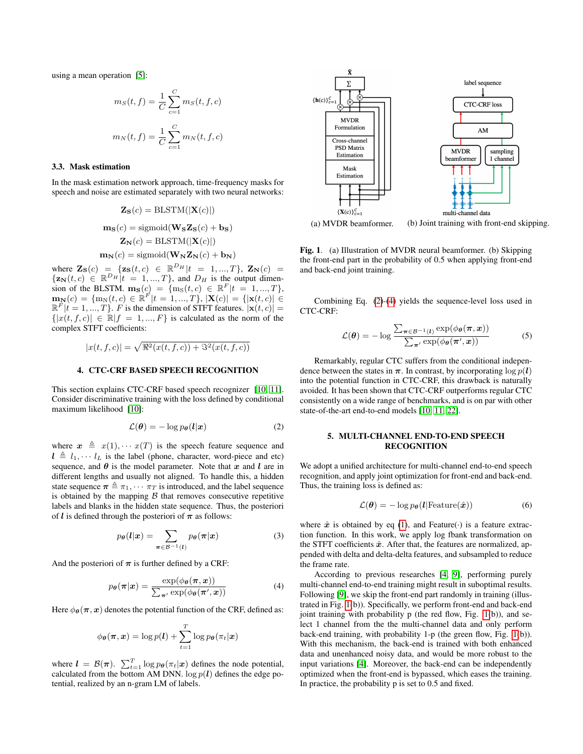using a mean operation [\[5\]](#page-6-4):

$$
m_S(t, f) = \frac{1}{C} \sum_{c=1}^{C} m_S(t, f, c)
$$

$$
m_N(t, f) = \frac{1}{C} \sum_{c=1}^{C} m_N(t, f, c)
$$

## <span id="page-2-1"></span>3.3. Mask estimation

In the mask estimation network approach, time-frequency masks for speech and noise are estimated separately with two neural networks:

$$
\mathbf{Z}_{S}(c) = \text{BLSTM}(|\mathbf{X}(c)|)
$$

$$
\mathbf{m}_{S}(c) = \text{sigmoid}(\mathbf{W}_{S}\mathbf{Z}_{S}(c) + \mathbf{b}_{S})
$$

$$
\mathbf{Z}_{N}(c) = \text{BLSTM}(|\mathbf{X}(c)|)
$$

$$
\mathbf{m}_{N}(c) = \text{sigmoid}(\mathbf{W}_{N}\mathbf{Z}_{N}(c) + \mathbf{b}_{N})
$$

where  $\mathbf{Z}_{\mathbf{S}}(c) = {\mathbf{z}_{\mathbf{S}}(t, c) \in \mathbb{R}^{D_H} | t = 1, ..., T}, \mathbf{Z}_{\mathbf{N}}(c) =$  $\{z_N(t, c) \in \mathbb{R}^{D_H} | t = 1, ..., T\}$ , and  $D_H$  is the output dimension of the BLSTM.  $\mathbf{m}_{\mathbf{S}}(c) = \{m_{\mathbf{S}}(t, c) \in \mathbb{R}^F | t = 1, ..., T\},\$  $\mathbf{m}_{\mathbf{N}}(c) = \{m_{\mathbf{N}}(t, c) \in \mathbb{R}^{F} | t = 1, ..., T\}, |\mathbf{X}(c)| = \{|\mathbf{x}(t, c)| \in$  $\mathbb{R}^F |t = 1, ..., T$ . F is the dimension of STFT features.  $|\mathbf{x}(t, c)| =$  $\{|x(t, f, c)| \in \mathbb{R} |f = 1, ..., F\}$  is calculated as the norm of the complex STFT coefficients:

$$
|x(t, f, c)| = \sqrt{\Re^2(x(t, f, c)) + \Im^2(x(t, f, c))}
$$

#### 4. CTC-CRF BASED SPEECH RECOGNITION

This section explains CTC-CRF based speech recognizer [\[10,](#page-6-9) [11\]](#page-6-10). Consider discriminative training with the loss defined by conditional maximum likelihood [\[10\]](#page-6-9):

<span id="page-2-2"></span>
$$
\mathcal{L}(\boldsymbol{\theta}) = -\log p_{\boldsymbol{\theta}}(\boldsymbol{l}|\boldsymbol{x}) \tag{2}
$$

where  $x \triangleq x(1), \cdots x(T)$  is the speech feature sequence and  $l \triangleq l_1, \cdots l_L$  is the label (phone, character, word-piece and etc) sequence, and  $\theta$  is the model parameter. Note that x and l are in different lengths and usually not aligned. To handle this, a hidden state sequence  $\boldsymbol{\pi} \triangleq \pi_1, \cdots \pi_T$  is introduced, and the label sequence is obtained by the mapping  $\beta$  that removes consecutive repetitive labels and blanks in the hidden state sequence. Thus, the posteriori of *l* is defined through the posteriori of  $\pi$  as follows:

$$
p_{\theta}(l|\boldsymbol{x}) = \sum_{\boldsymbol{\pi} \in \mathcal{B}^{-1}(l)} p_{\theta}(\boldsymbol{\pi}|\boldsymbol{x})
$$
 (3)

And the posteriori of  $\pi$  is further defined by a CRF:

<span id="page-2-3"></span>
$$
p_{\theta}(\boldsymbol{\pi}|\boldsymbol{x}) = \frac{\exp(\phi_{\theta}(\boldsymbol{\pi},\boldsymbol{x}))}{\sum_{\boldsymbol{\pi}'} \exp(\phi_{\theta}(\boldsymbol{\pi}',\boldsymbol{x}))}
$$
(4)

Here  $\phi_{\theta}(\pi, x)$  denotes the potential function of the CRF, defined as:

$$
\phi_{\boldsymbol{\theta}}(\boldsymbol{\pi}, \boldsymbol{x}) = \log p(\boldsymbol{l}) + \sum_{t=1}^T \log p_{\boldsymbol{\theta}}(\pi_t|\boldsymbol{x})
$$

where  $\mathbf{l} = \mathcal{B}(\boldsymbol{\pi})$ .  $\sum_{t=1}^{T} \log p_{\theta}(\pi_t|\boldsymbol{x})$  defines the node potential, calculated from the bottom AM DNN.  $\log p(l)$  defines the edge potential, realized by an n-gram LM of labels.



<span id="page-2-0"></span>Fig. 1. (a) Illustration of MVDR neural beamformer. (b) Skipping the front-end part in the probability of 0.5 when applying front-end and back-end joint training.

Combining Eq. [\(2\)](#page-2-2)-[\(4\)](#page-2-3) yields the sequence-level loss used in CTC-CRF:

$$
\mathcal{L}(\boldsymbol{\theta}) = -\log \frac{\sum_{\boldsymbol{\pi} \in \mathcal{B}^{-1}(l)} \exp(\phi_{\boldsymbol{\theta}}(\boldsymbol{\pi}, \boldsymbol{x}))}{\sum_{\boldsymbol{\pi}'} \exp(\phi_{\boldsymbol{\theta}}(\boldsymbol{\pi}', \boldsymbol{x}))}
$$
(5)

Remarkably, regular CTC suffers from the conditional independence between the states in  $\pi$ . In contrast, by incorporating  $\log p(l)$ into the potential function in CTC-CRF, this drawback is naturally avoided. It has been shown that CTC-CRF outperforms regular CTC consistently on a wide range of benchmarks, and is on par with other state-of-the-art end-to-end models [\[10,](#page-6-9) [11,](#page-6-10) [22\]](#page-6-21).

## <span id="page-2-4"></span>5. MULTI-CHANNEL END-TO-END SPEECH RECOGNITION

We adopt a unified architecture for multi-channel end-to-end speech recognition, and apply joint optimization for front-end and back-end. Thus, the training loss is defined as:

$$
\mathcal{L}(\boldsymbol{\theta}) = -\log p_{\boldsymbol{\theta}}(\boldsymbol{l}|\text{Feature}(\hat{\boldsymbol{x}}))
$$
 (6)

where  $\hat{x}$  is obtained by eq [\(1\)](#page-1-1), and Feature( $\cdot$ ) is a feature extraction function. In this work, we apply log fbank transformation on the STFT coefficients  $\hat{x}$ . After that, the features are normalized, appended with delta and delta-delta features, and subsampled to reduce the frame rate.

According to previous researches [\[4,](#page-6-3) [9\]](#page-6-8), performing purely multi-channel end-to-end training might result in suboptimal results. Following [\[9\]](#page-6-8), we skip the front-end part randomly in training (illustrated in Fig. [1\(](#page-2-0)b)). Specifically, we perform front-end and back-end joint training with probability  $p$  (the red flow, Fig. [1\(](#page-2-0)b)), and select 1 channel from the the multi-channel data and only perform back-end training, with probability 1-p (the green flow, Fig. [1\(](#page-2-0)b)). With this mechanism, the back-end is trained with both enhanced data and unenhanced noisy data, and would be more robust to the input variations [\[4\]](#page-6-3). Moreover, the back-end can be independently optimized when the front-end is bypassed, which eases the training. In practice, the probability p is set to 0.5 and fixed.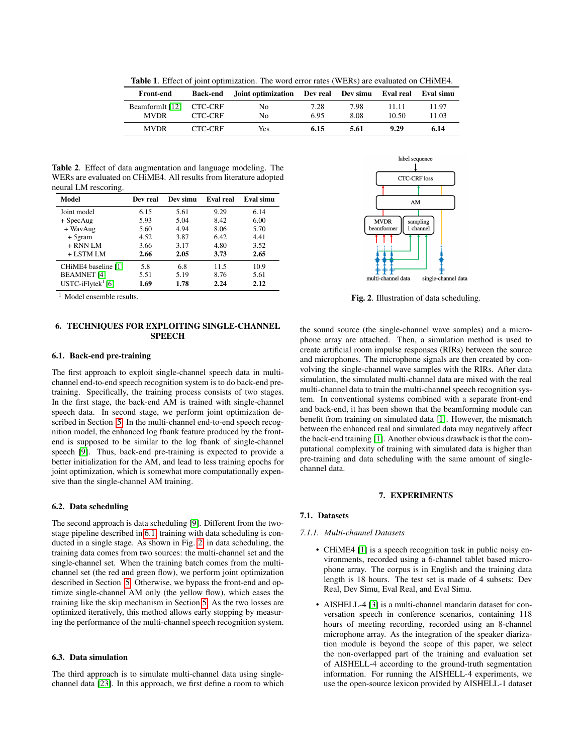<span id="page-3-2"></span>Table 1. Effect of joint optimization. The word error rates (WERs) are evaluated on CHiME4.

| Front-end       |         | Back-end Joint optimization Dev real Dev simu Eval real Eval simu |      |      |       |       |
|-----------------|---------|-------------------------------------------------------------------|------|------|-------|-------|
| BeamformIt [12] | CTC-CRF | No.                                                               | 7.28 | 7.98 | 11.11 | 11.97 |
| <b>MVDR</b>     | CTC-CRF | No                                                                | 6.95 | 8.08 | 10.50 | 11.03 |
| <b>MVDR</b>     | CTC-CRF | Yes.                                                              | 6.15 | 5.61 | 9.29  | 6.14  |

<span id="page-3-3"></span>Table 2. Effect of data augmentation and language modeling. The WERs are evaluated on CHiME4. All results from literature adopted neural LM rescoring.

| Model                      | Dev real | Dev simu | Eval real | Eval simu |
|----------------------------|----------|----------|-----------|-----------|
| Joint model                | 6.15     | 5.61     | 9.29      | 6.14      |
| $+$ SpecAug                | 5.93     | 5.04     | 8.42      | 6.00      |
| + WavAug                   | 5.60     | 4.94     | 8.06      | 5.70      |
| $+5$ gram                  | 4.52     | 3.87     | 6.42      | 4.41      |
| $+$ RNN LM                 | 3.66     | 3.17     | 4.80      | 3.52      |
| $+$ LSTM LM                | 2.66     | 2.05     | 3.73      | 2.65      |
| CHiME4 baseline [1]        | 5.8      | 6.8      | 11.5      | 10.9      |
| <b>BEAMNET</b> [4]         | 5.51     | 5.19     | 8.76      | 5.61      |
| $USTC$ -iFlytek $^{1}$ [6] | 1.69     | 1.78     | 2.24      | 2.12      |

 $1$  Model ensemble results.

## 6. TECHNIQUES FOR EXPLOITING SINGLE-CHANNEL SPEECH

### <span id="page-3-0"></span>6.1. Back-end pre-training

The first approach to exploit single-channel speech data in multichannel end-to-end speech recognition system is to do back-end pretraining. Specifically, the training process consists of two stages. In the first stage, the back-end AM is trained with single-channel speech data. In second stage, we perform joint optimization described in Section [5.](#page-2-4) In the multi-channel end-to-end speech recognition model, the enhanced log fbank feature produced by the frontend is supposed to be similar to the log fbank of single-channel speech [\[9\]](#page-6-8). Thus, back-end pre-training is expected to provide a better initialization for the AM, and lead to less training epochs for joint optimization, which is somewhat more computationally expensive than the single-channel AM training.

### 6.2. Data scheduling

The second approach is data scheduling [\[9\]](#page-6-8). Different from the twostage pipeline described in [6.1,](#page-3-0) training with data scheduling is conducted in a single stage. As shown in Fig. [2,](#page-3-1) in data scheduling, the training data comes from two sources: the multi-channel set and the single-channel set. When the training batch comes from the multichannel set (the red and green flow), we perform joint optimization described in Section [5.](#page-2-4) Otherwise, we bypass the front-end and optimize single-channel AM only (the yellow flow), which eases the training like the skip mechanism in Section [5.](#page-2-4) As the two losses are optimized iteratively, this method allows early stopping by measuring the performance of the multi-channel speech recognition system.

#### 6.3. Data simulation

The third approach is to simulate multi-channel data using singlechannel data [\[23\]](#page-6-22). In this approach, we first define a room to which



<span id="page-3-1"></span>Fig. 2. Illustration of data scheduling.

the sound source (the single-channel wave samples) and a microphone array are attached. Then, a simulation method is used to create artificial room impulse responses (RIRs) between the source and microphones. The microphone signals are then created by convolving the single-channel wave samples with the RIRs. After data simulation, the simulated multi-channel data are mixed with the real multi-channel data to train the multi-channel speech recognition system. In conventional systems combined with a separate front-end and back-end, it has been shown that the beamforming module can benefit from training on simulated data [\[1\]](#page-6-0). However, the mismatch between the enhanced real and simulated data may negatively affect the back-end training [\[1\]](#page-6-0). Another obvious drawback is that the computational complexity of training with simulated data is higher than pre-training and data scheduling with the same amount of singlechannel data.

#### 7. EXPERIMENTS

#### 7.1. Datasets

### *7.1.1. Multi-channel Datasets*

- CHiME4 [\[1\]](#page-6-0) is a speech recognition task in public noisy environments, recorded using a 6-channel tablet based microphone array. The corpus is in English and the training data length is 18 hours. The test set is made of 4 subsets: Dev Real, Dev Simu, Eval Real, and Eval Simu.
- AISHELL-4 [\[3\]](#page-6-2) is a multi-channel mandarin dataset for conversation speech in conference scenarios, containing 118 hours of meeting recording, recorded using an 8-channel microphone array. As the integration of the speaker diarization module is beyond the scope of this paper, we select the non-overlapped part of the training and evaluation set of AISHELL-4 according to the ground-truth segmentation information. For running the AISHELL-4 experiments, we use the open-source lexicon provided by AISHELL-1 dataset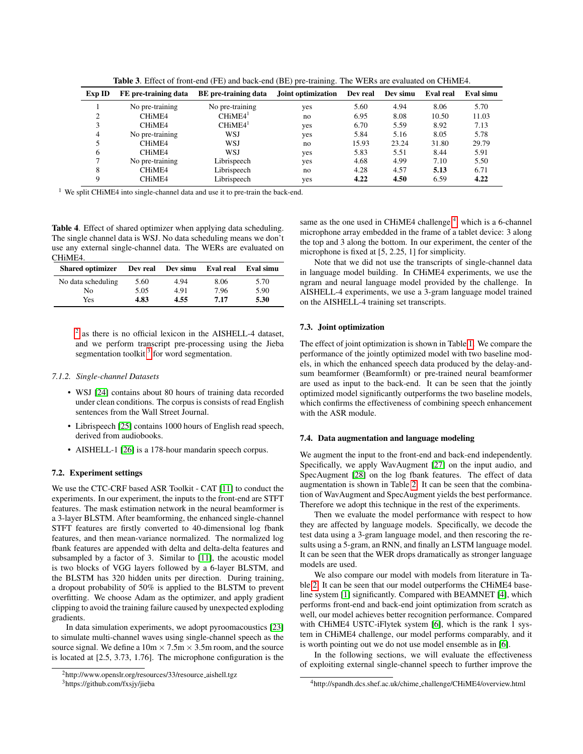| Exp ID | FE pre-training data            | BE pre-training data | Joint optimization | Dev real | Dev simu | <b>Eval</b> real | Eval simu |
|--------|---------------------------------|----------------------|--------------------|----------|----------|------------------|-----------|
|        | No pre-training                 | No pre-training      | yes                | 5.60     | 4.94     | 8.06             | 5.70      |
| ◠      | CHiME4                          | CHiME4 <sup>1</sup>  | no                 | 6.95     | 8.08     | 10.50            | 11.03     |
|        | CH <sub>i</sub> ME <sub>4</sub> | CHiME4 <sup>1</sup>  | yes                | 6.70     | 5.59     | 8.92             | 7.13      |
| 4      | No pre-training                 | WSJ                  | yes                | 5.84     | 5.16     | 8.05             | 5.78      |
|        | CHiME4                          | WSJ                  | no                 | 15.93    | 23.24    | 31.80            | 29.79     |
| 6      | CHiME4                          | WSJ                  | yes                | 5.83     | 5.51     | 8.44             | 5.91      |
|        | No pre-training                 | Librispeech          | yes                | 4.68     | 4.99     | 7.10             | 5.50      |
| 8      | CHiME4                          | Librispeech          | no                 | 4.28     | 4.57     | 5.13             | 6.71      |
|        | CHiME4                          | Librispeech          | yes                | 4.22     | 4.50     | 6.59             | 4.22      |

<span id="page-4-3"></span>Table 3. Effect of front-end (FE) and back-end (BE) pre-training. The WERs are evaluated on CHiME4.

<sup>1</sup> We split CHiME4 into single-channel data and use it to pre-train the back-end.

<span id="page-4-4"></span>Table 4. Effect of shared optimizer when applying data scheduling. The single channel data is WSJ. No data scheduling means we don't use any external single-channel data. The WERs are evaluated on CHiME4.

| <b>Shared optimizer</b> |      | Dev real Dev simu Eval real Eval simu |      |      |
|-------------------------|------|---------------------------------------|------|------|
| No data scheduling      | 5.60 | 4.94                                  | 8.06 | 5.70 |
| No.                     | 5.05 | 4.91                                  | 7.96 | 5.90 |
| Yes                     | 4.83 | 4.55                                  | 7.17 | 5.30 |

<sup>[2](#page-4-0)</sup> as there is no official lexicon in the AISHELL-4 dataset, and we perform transcript pre-processing using the Jieba segmentation toolkit  $3$  for word segmentation.

#### *7.1.2. Single-channel Datasets*

- WSJ [\[24\]](#page-6-23) contains about 80 hours of training data recorded under clean conditions. The corpus is consists of read English sentences from the Wall Street Journal.
- Librispeech [\[25\]](#page-6-24) contains 1000 hours of English read speech, derived from audiobooks.
- AISHELL-1 [\[26\]](#page-6-25) is a 178-hour mandarin speech corpus.

## 7.2. Experiment settings

We use the CTC-CRF based ASR Toolkit - CAT [\[11\]](#page-6-10) to conduct the experiments. In our experiment, the inputs to the front-end are STFT features. The mask estimation network in the neural beamformer is a 3-layer BLSTM. After beamforming, the enhanced single-channel STFT features are firstly converted to 40-dimensional log fbank features, and then mean-variance normalized. The normalized log fbank features are appended with delta and delta-delta features and subsampled by a factor of 3. Similar to [\[11\]](#page-6-10), the acoustic model is two blocks of VGG layers followed by a 6-layer BLSTM, and the BLSTM has 320 hidden units per direction. During training, a dropout probability of 50% is applied to the BLSTM to prevent overfitting. We choose Adam as the optimizer, and apply gradient clipping to avoid the training failure caused by unexpected exploding gradients.

In data simulation experiments, we adopt pyroomacoustics [\[23\]](#page-6-22) to simulate multi-channel waves using single-channel speech as the source signal. We define a  $10m \times 7.5m \times 3.5m$  room, and the source is located at [2.5, 3.73, 1.76]. The microphone configuration is the

<span id="page-4-1"></span><sup>3</sup>https://github.com/fxsjy/jieba

same as the one used in CHiME[4](#page-4-2) challenge<sup>4</sup>, which is a 6-channel microphone array embedded in the frame of a tablet device: 3 along the top and 3 along the bottom. In our experiment, the center of the microphone is fixed at [5, 2.25, 1] for simplicity.

Note that we did not use the transcripts of single-channel data in language model building. In CHiME4 experiments, we use the ngram and neural language model provided by the challenge. In AISHELL-4 experiments, we use a 3-gram language model trained on the AISHELL-4 training set transcripts.

#### 7.3. Joint optimization

The effect of joint optimization is shown in Table [1.](#page-3-2) We compare the performance of the jointly optimized model with two baseline models, in which the enhanced speech data produced by the delay-andsum beamformer (BeamformIt) or pre-trained neural beamformer are used as input to the back-end. It can be seen that the jointly optimized model significantly outperforms the two baseline models, which confirms the effectiveness of combining speech enhancement with the ASR module.

## 7.4. Data augmentation and language modeling

We augment the input to the front-end and back-end independently. Specifically, we apply WavAugment [\[27\]](#page-6-26) on the input audio, and SpecAugment [\[28\]](#page-6-27) on the log fbank features. The effect of data augmentation is shown in Table [2.](#page-3-3) It can be seen that the combination of WavAugment and SpecAugment yields the best performance. Therefore we adopt this technique in the rest of the experiments.

Then we evaluate the model performance with respect to how they are affected by language models. Specifically, we decode the test data using a 3-gram language model, and then rescoring the results using a 5-gram, an RNN, and finally an LSTM language model. It can be seen that the WER drops dramatically as stronger language models are used.

We also compare our model with models from literature in Table [2.](#page-3-3) It can be seen that our model outperforms the CHiME4 baseline system [\[1\]](#page-6-0) significantly. Compared with BEAMNET [\[4\]](#page-6-3), which performs front-end and back-end joint optimization from scratch as well, our model achieves better recognition performance. Compared with CHiME4 USTC-iFlytek system [\[6\]](#page-6-5), which is the rank 1 system in CHiME4 challenge, our model performs comparably, and it is worth pointing out we do not use model ensemble as in [\[6\]](#page-6-5).

In the following sections, we will evaluate the effectiveness of exploiting external single-channel speech to further improve the

<span id="page-4-0"></span><sup>2</sup>http://www.openslr.org/resources/33/resource aishell.tgz

<span id="page-4-2"></span><sup>4</sup>http://spandh.dcs.shef.ac.uk/chime challenge/CHiME4/overview.html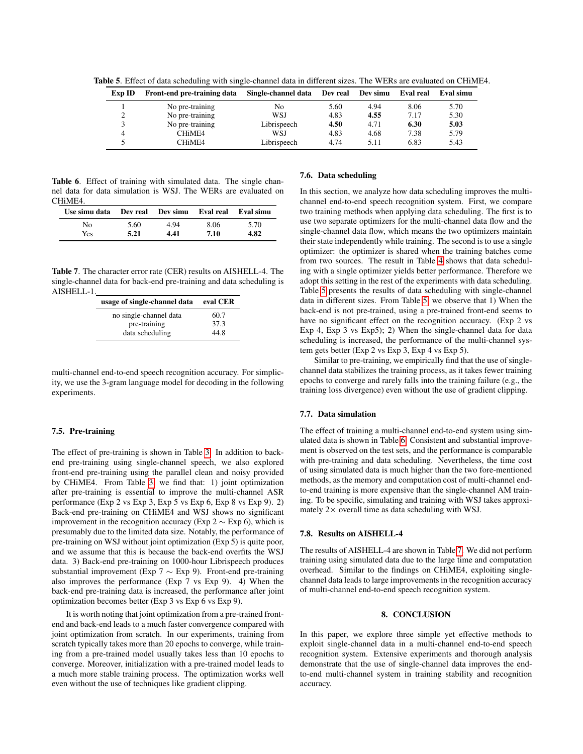Table 5. Effect of data scheduling with single-channel data in different sizes. The WERs are evaluated on CHiME4.

<span id="page-5-0"></span>

| Exp ID | Front-end pre-training data     | Single-channel data | Dev real | Dev simu | Eval real | Eval simu |
|--------|---------------------------------|---------------------|----------|----------|-----------|-----------|
|        | No pre-training                 | No                  | 5.60     | 4.94     | 8.06      | 5.70      |
| ◠      | No pre-training                 | WSJ                 | 4.83     | 4.55     | 7.17      | 5.30      |
|        | No pre-training                 | Librispeech         | 4.50     | 4.71     | 6.30      | 5.03      |
| 4      | CH <sub>i</sub> MF <sub>4</sub> | WSJ                 | 4.83     | 4.68     | 7.38      | 5.79      |
|        | CH <sub>i</sub> MF <sub>4</sub> | Librispeech         | 4.74     | 5.11     | 6.83      | 5.43      |

<span id="page-5-1"></span>Table 6. Effect of training with simulated data. The single channel data for data simulation is WSJ. The WERs are evaluated on CHiME4.

| Use simu data Dev real Dev simu Eval real Eval simu |      |      |      |      |
|-----------------------------------------------------|------|------|------|------|
| Nο                                                  | 5.60 | 4.94 | 8.06 | 5.70 |
| Yes.                                                | 5.21 | 4.41 | 7.10 | 4.82 |

<span id="page-5-2"></span>Table 7. The character error rate (CER) results on AISHELL-4. The single-channel data for back-end pre-training and data scheduling is AISHELL-1.

| usage of single-channel data | eval CER |
|------------------------------|----------|
| no single-channel data       | 60.7     |
| pre-training                 | 37.3     |
| data scheduling              | 44.8     |

multi-channel end-to-end speech recognition accuracy. For simplicity, we use the 3-gram language model for decoding in the following experiments.

#### 7.5. Pre-training

The effect of pre-training is shown in Table [3.](#page-4-3) In addition to backend pre-training using single-channel speech, we also explored front-end pre-training using the parallel clean and noisy provided by CHiME4. From Table [3,](#page-4-3) we find that: 1) joint optimization after pre-training is essential to improve the multi-channel ASR performance (Exp 2 vs Exp 3, Exp 5 vs Exp 6, Exp 8 vs Exp 9). 2) Back-end pre-training on CHiME4 and WSJ shows no significant improvement in the recognition accuracy (Exp 2  $\sim$  Exp 6), which is presumably due to the limited data size. Notably, the performance of pre-training on WSJ without joint optimization (Exp 5) is quite poor, and we assume that this is because the back-end overfits the WSJ data. 3) Back-end pre-training on 1000-hour Librispeech produces substantial improvement (Exp 7  $\sim$  Exp 9). Front-end pre-training also improves the performance (Exp 7 vs Exp 9). 4) When the back-end pre-training data is increased, the performance after joint optimization becomes better (Exp 3 vs Exp 6 vs Exp 9).

It is worth noting that joint optimization from a pre-trained frontend and back-end leads to a much faster convergence compared with joint optimization from scratch. In our experiments, training from scratch typically takes more than 20 epochs to converge, while training from a pre-trained model usually takes less than 10 epochs to converge. Moreover, initialization with a pre-trained model leads to a much more stable training process. The optimization works well even without the use of techniques like gradient clipping.

## 7.6. Data scheduling

In this section, we analyze how data scheduling improves the multichannel end-to-end speech recognition system. First, we compare two training methods when applying data scheduling. The first is to use two separate optimizers for the multi-channel data flow and the single-channel data flow, which means the two optimizers maintain their state independently while training. The second is to use a single optimizer: the optimizer is shared when the training batches come from two sources. The result in Table [4](#page-4-4) shows that data scheduling with a single optimizer yields better performance. Therefore we adopt this setting in the rest of the experiments with data scheduling. Table [5](#page-5-0) presents the results of data scheduling with single-channel data in different sizes. From Table [5,](#page-5-0) we observe that 1) When the back-end is not pre-trained, using a pre-trained front-end seems to have no significant effect on the recognition accuracy. (Exp 2 vs Exp 4, Exp 3 vs Exp5); 2) When the single-channel data for data scheduling is increased, the performance of the multi-channel system gets better (Exp 2 vs Exp 3, Exp 4 vs Exp 5).

Similar to pre-training, we empirically find that the use of singlechannel data stabilizes the training process, as it takes fewer training epochs to converge and rarely falls into the training failure (e.g., the training loss divergence) even without the use of gradient clipping.

#### 7.7. Data simulation

The effect of training a multi-channel end-to-end system using simulated data is shown in Table [6.](#page-5-1) Consistent and substantial improvement is observed on the test sets, and the performance is comparable with pre-training and data scheduling. Nevertheless, the time cost of using simulated data is much higher than the two fore-mentioned methods, as the memory and computation cost of multi-channel endto-end training is more expensive than the single-channel AM training. To be specific, simulating and training with WSJ takes approximately  $2 \times$  overall time as data scheduling with WSJ.

## 7.8. Results on AISHELL-4

The results of AISHELL-4 are shown in Table [7.](#page-5-2) We did not perform training using simulated data due to the large time and computation overhead. Similar to the findings on CHiME4, exploiting singlechannel data leads to large improvements in the recognition accuracy of multi-channel end-to-end speech recognition system.

## 8. CONCLUSION

In this paper, we explore three simple yet effective methods to exploit single-channel data in a multi-channel end-to-end speech recognition system. Extensive experiments and thorough analysis demonstrate that the use of single-channel data improves the endto-end multi-channel system in training stability and recognition accuracy.